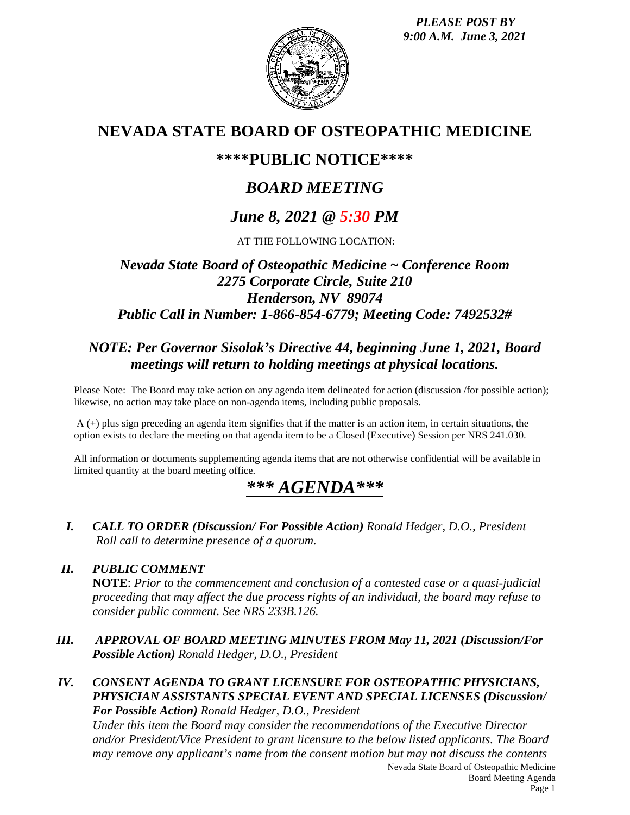*PLEASE POST BY 9:00 A.M. June 3, 2021*



## **NEVADA STATE BOARD OF OSTEOPATHIC MEDICINE**

### **\*\*\*\*PUBLIC NOTICE\*\*\*\***

# *BOARD MEETING*

## *June 8, 2021 @ 5:30 PM*

AT THE FOLLOWING LOCATION:

### *Nevada State Board of Osteopathic Medicine ~ Conference Room 2275 Corporate Circle, Suite 210 Henderson, NV 89074 Public Call in Number: 1-866-854-6779; Meeting Code: 7492532#*

### *NOTE: Per Governor Sisolak's Directive 44, beginning June 1, 2021, Board meetings will return to holding meetings at physical locations.*

Please Note: The Board may take action on any agenda item delineated for action (discussion /for possible action); likewise, no action may take place on non-agenda items, including public proposals.

 $A$  (+) plus sign preceding an agenda item signifies that if the matter is an action item, in certain situations, the option exists to declare the meeting on that agenda item to be a Closed (Executive) Session per NRS 241.030.

All information or documents supplementing agenda items that are not otherwise confidential will be available in limited quantity at the board meeting office.

# *\*\*\* AGENDA\*\*\**

*I. CALL TO ORDER (Discussion/ For Possible Action) Ronald Hedger, D.O., President Roll call to determine presence of a quorum.*

#### *II. PUBLIC COMMENT*

**NOTE**: *Prior to the commencement and conclusion of a contested case or a quasi-judicial proceeding that may affect the due process rights of an individual, the board may refuse to consider public comment. See NRS 233B.126.*

- *III. APPROVAL OF BOARD MEETING MINUTES FROM May 11, 2021 (Discussion/For Possible Action) Ronald Hedger, D.O., President*
- *IV. CONSENT AGENDA TO GRANT LICENSURE FOR OSTEOPATHIC PHYSICIANS, PHYSICIAN ASSISTANTS SPECIAL EVENT AND SPECIAL LICENSES (Discussion/ For Possible Action) Ronald Hedger, D.O., President*

*Under this item the Board may consider the recommendations of the Executive Director and/or President/Vice President to grant licensure to the below listed applicants. The Board may remove any applicant's name from the consent motion but may not discuss the contents*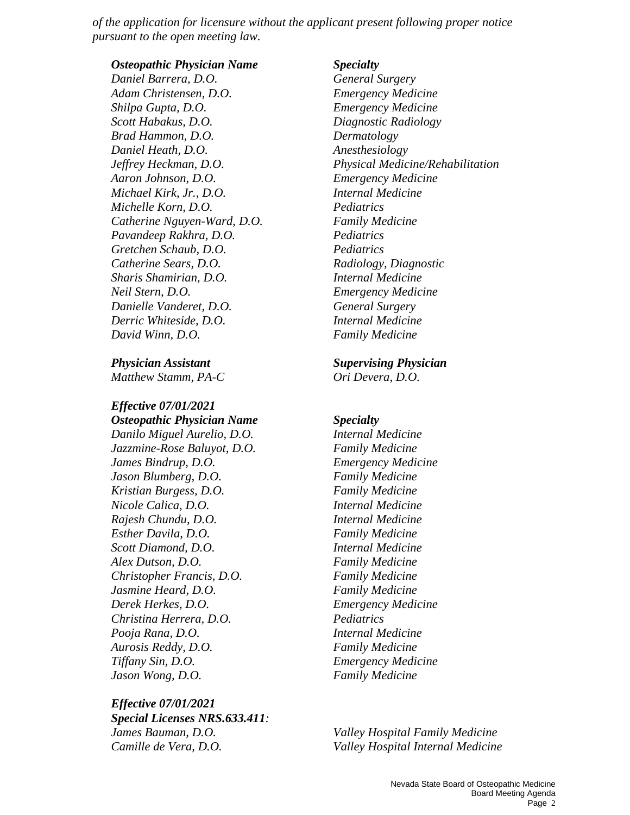*of the application for licensure without the applicant present following proper notice pursuant to the open meeting law.*

*Osteopathic Physician Name Specialty*

*Daniel Barrera, D.O. General Surgery Adam Christensen, D.O. Emergency Medicine Shilpa Gupta, D.O. Emergency Medicine Scott Habakus, D.O. Diagnostic Radiology Brad Hammon, D.O. Dermatology Daniel Heath, D.O. Anesthesiology Aaron Johnson, D.O. Emergency Medicine Michael Kirk, Jr., D.O. Internal Medicine Michelle Korn, D.O. Pediatrics Catherine Nguyen-Ward, D.O. Family Medicine Pavandeep Rakhra, D.O. Pediatrics Gretchen Schaub, D.O. Pediatrics Catherine Sears, D.O.* **Radiology, Diagnostic** *Radiology, Diagnostic Sharis Shamirian, D.O. Internal Medicine Neil Stern, D.O. Emergency Medicine Danielle Vanderet, D.O. General Surgery Derric Whiteside, D.O. Internal Medicine David Winn, D.O. Family Medicine* 

*Matthew Stamm, PA-C Ori Devera, D.O.* 

*Effective 07/01/2021*

*Osteopathic Physician Name Specialty Danilo Miguel Aurelio, D.O. Internal Medicine Jazzmine-Rose Baluyot, D.O. Family Medicine James Bindrup, D.O. Emergency Medicine Jason Blumberg, D.O. Family Medicine Kristian Burgess, D.O. Family Medicine Nicole Calica, D.O. Internal Medicine Rajesh Chundu, D.O. Internal Medicine Esther Davila, D.O. Family Medicine Scott Diamond, D.O. Internal Medicine Alex Dutson, D.O. Family Medicine Christopher Francis, D.O. Family Medicine Jasmine Heard, D.O. Family Medicine Derek Herkes, D.O. Emergency Medicine Christina Herrera, D.O. Pediatrics Pooja Rana, D.O. Internal Medicine Aurosis Reddy, D.O. Family Medicine Tiffany Sin, D.O. Emergency Medicine Jason Wong, D.O. Family Medicine* 

*Effective 07/01/2021 Special Licenses NRS.633.411: James Bauman, D.O. Valley Hospital Family Medicine*

*Jeffrey Heckman, D.O. Physical Medicine/Rehabilitation*

*Physician Assistant Supervising Physician*

*Camille de Vera, D.O. Valley Hospital Internal Medicine*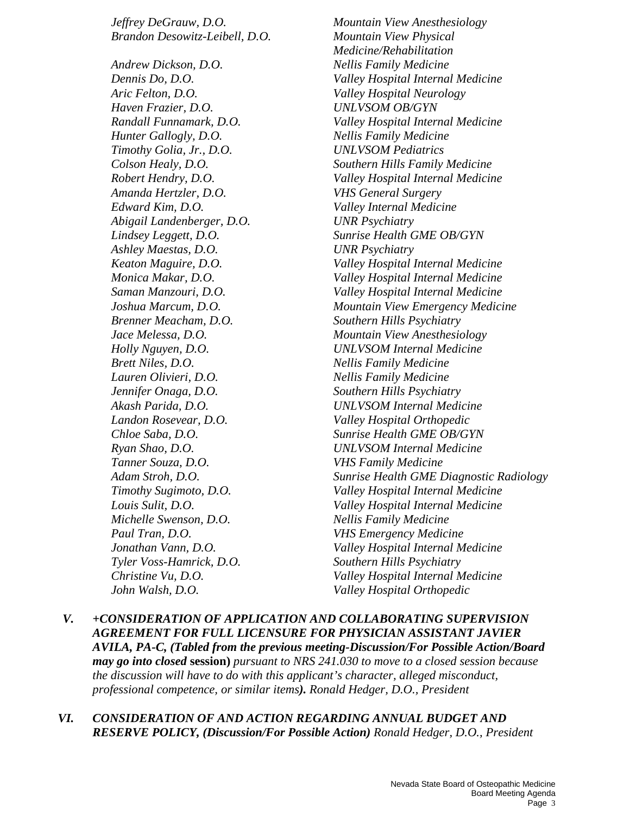*Brandon Desowitz-Leibell, D.O. Mountain View Physical Andrew Dickson, D.O. Nellis Family Medicine Aric Felton, D.O. Valley Hospital Neurology Haven Frazier, D.O. UNLVSOM OB/GYN Hunter Gallogly, D.O. Nellis Family Medicine Timothy Golia, Jr., D.O. UNLVSOM Pediatrics Amanda Hertzler, D.O. VHS General Surgery Edward Kim, D.O. Valley Internal Medicine Abigail Landenberger, D.O. UNR Psychiatry Ashley Maestas, D.O. UNR Psychiatry Brenner Meacham, D.O. Southern Hills Psychiatry Brett Niles, D.O. Nellis Family Medicine Lauren Olivieri, D.O. Nellis Family Medicine Jennifer Onaga, D.O. Southern Hills Psychiatry Landon Rosevear, D.O. Valley Hospital Orthopedic Tanner Souza, D.O. VHS Family Medicine Michelle Swenson, D.O.* Nellis Family Medicine *Paul Tran, D.O. VHS Emergency Medicine Tyler Voss-Hamrick, D.O. Southern Hills Psychiatry John Walsh, D.O. Valley Hospital Orthopedic* 

*Jeffrey DeGrauw, D.O. Mountain View Anesthesiology Medicine/Rehabilitation Dennis Do, D.O. Valley Hospital Internal Medicine Randall Funnamark, D.O. Valley Hospital Internal Medicine Colson Healy, D.O. Southern Hills Family Medicine Robert Hendry, D.O. Valley Hospital Internal Medicine Lindsey Leggett, D.O. Sunrise Health GME OB/GYN Keaton Maguire, D.O. Valley Hospital Internal Medicine Monica Makar, D.O. Valley Hospital Internal Medicine Saman Manzouri, D.O. Valley Hospital Internal Medicine Joshua Marcum, D.O. Mountain View Emergency Medicine Jace Melessa, D.O. Mountain View Anesthesiology Holly Nguyen, D.O. UNLVSOM Internal Medicine Akash Parida, D.O. UNLVSOM Internal Medicine Chloe Saba, D.O. Sunrise Health GME OB/GYN Ryan Shao, D.O. UNLVSOM Internal Medicine Adam Stroh, D.O. Sunrise Health GME Diagnostic Radiology Timothy Sugimoto, D.O. Valley Hospital Internal Medicine Louis Sulit, D.O. Valley Hospital Internal Medicine Jonathan Vann, D.O. Valley Hospital Internal Medicine Christine Vu, D.O. Valley Hospital Internal Medicine*

- *V. +CONSIDERATION OF APPLICATION AND COLLABORATING SUPERVISION AGREEMENT FOR FULL LICENSURE FOR PHYSICIAN ASSISTANT JAVIER AVILA, PA-C, (Tabled from the previous meeting-Discussion/For Possible Action/Board may go into closed* **session)** *pursuant to NRS 241.030 to move to a closed session because the discussion will have to do with this applicant's character, alleged misconduct, professional competence, or similar items). Ronald Hedger, D.O., President*
- *VI. CONSIDERATION OF AND ACTION REGARDING ANNUAL BUDGET AND RESERVE POLICY, (Discussion/For Possible Action) Ronald Hedger, D.O., President*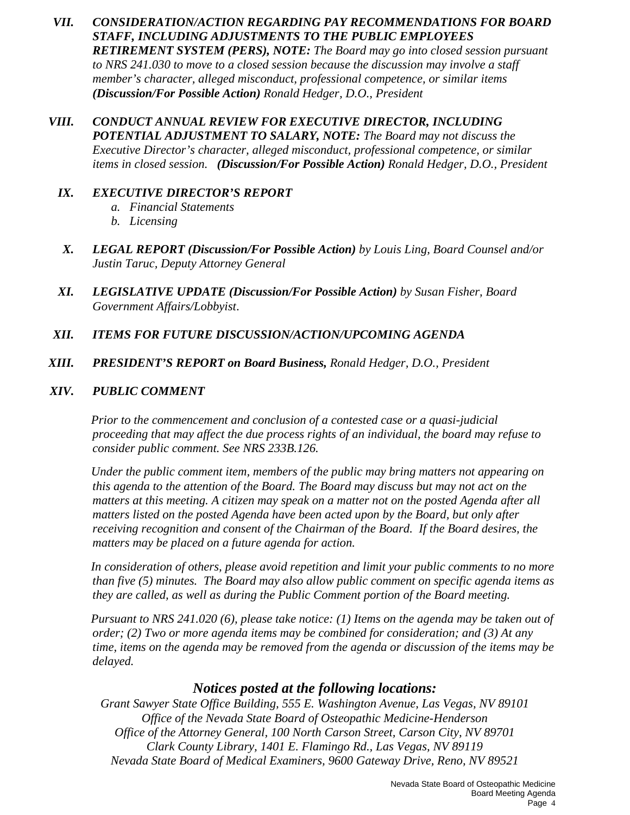- *VII. CONSIDERATION/ACTION REGARDING PAY RECOMMENDATIONS FOR BOARD STAFF, INCLUDING ADJUSTMENTS TO THE PUBLIC EMPLOYEES RETIREMENT SYSTEM (PERS), NOTE: The Board may go into closed session pursuant to NRS 241.030 to move to a closed session because the discussion may involve a staff member's character, alleged misconduct, professional competence, or similar items (Discussion/For Possible Action) Ronald Hedger, D.O., President*
- *VIII. CONDUCT ANNUAL REVIEW FOR EXECUTIVE DIRECTOR, INCLUDING POTENTIAL ADJUSTMENT TO SALARY, NOTE: The Board may not discuss the Executive Director's character, alleged misconduct, professional competence, or similar items in closed session. (Discussion/For Possible Action) Ronald Hedger, D.O., President*

#### *IX. EXECUTIVE DIRECTOR'S REPORT*

- *a. Financial Statements*
- *b. Licensing*
- *X. LEGAL REPORT (Discussion/For Possible Action) by Louis Ling, Board Counsel and/or Justin Taruc, Deputy Attorney General*
- *XI. LEGISLATIVE UPDATE (Discussion/For Possible Action) by Susan Fisher, Board Government Affairs/Lobbyist*.
- *XII. ITEMS FOR FUTURE DISCUSSION/ACTION/UPCOMING AGENDA*
- *XIII. PRESIDENT'S REPORT on Board Business, Ronald Hedger, D.O., President*

#### *XIV. PUBLIC COMMENT*

*Prior to the commencement and conclusion of a contested case or a quasi-judicial proceeding that may affect the due process rights of an individual, the board may refuse to consider public comment. See NRS 233B.126.*

*Under the public comment item, members of the public may bring matters not appearing on this agenda to the attention of the Board. The Board may discuss but may not act on the matters at this meeting. A citizen may speak on a matter not on the posted Agenda after all matters listed on the posted Agenda have been acted upon by the Board, but only after receiving recognition and consent of the Chairman of the Board. If the Board desires, the matters may be placed on a future agenda for action.*

*In consideration of others, please avoid repetition and limit your public comments to no more than five (5) minutes. The Board may also allow public comment on specific agenda items as they are called, as well as during the Public Comment portion of the Board meeting.* 

*Pursuant to NRS 241.020 (6), please take notice: (1) Items on the agenda may be taken out of order; (2) Two or more agenda items may be combined for consideration; and (3) At any time, items on the agenda may be removed from the agenda or discussion of the items may be delayed.*

#### *Notices posted at the following locations:*

*Grant Sawyer State Office Building, 555 E. Washington Avenue, Las Vegas, NV 89101 Office of the Nevada State Board of Osteopathic Medicine-Henderson Office of the Attorney General, 100 North Carson Street, Carson City, NV 89701 Clark County Library, 1401 E. Flamingo Rd., Las Vegas, NV 89119 Nevada State Board of Medical Examiners, 9600 Gateway Drive, Reno, NV 89521*